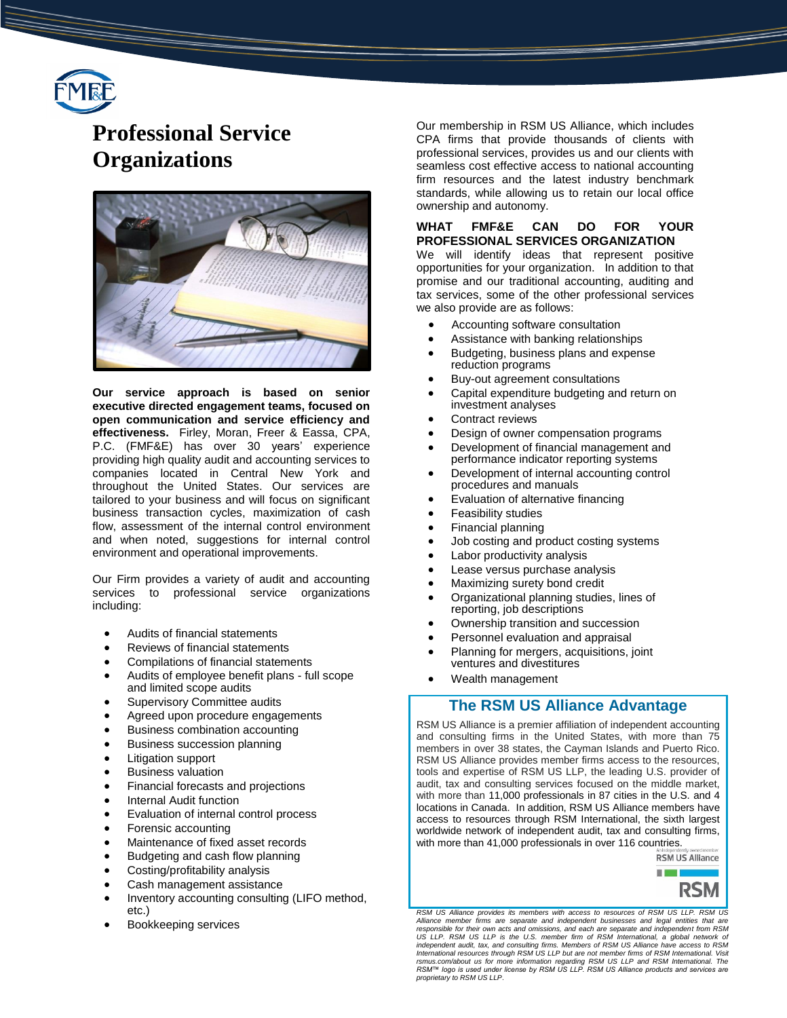

# **Professional Service Organizations**



**Our service approach is based on senior executive directed engagement teams, focused on open communication and service efficiency and effectiveness.** Firley, Moran, Freer & Eassa, CPA, P.C. (FMF&E) has over 30 years' experience providing high quality audit and accounting services to companies located in Central New York and throughout the United States. Our services are tailored to your business and will focus on significant business transaction cycles, maximization of cash flow, assessment of the internal control environment and when noted, suggestions for internal control environment and operational improvements.

Our Firm provides a variety of audit and accounting services to professional service organizations including:

- Audits of financial statements
- Reviews of financial statements
- Compilations of financial statements
- Audits of employee benefit plans full scope and limited scope audits
- Supervisory Committee audits
- Agreed upon procedure engagements
- Business combination accounting
- Business succession planning
- Litigation support
- Business valuation
- Financial forecasts and projections
- Internal Audit function
- Evaluation of internal control process
- Forensic accounting
- Maintenance of fixed asset records
- Budgeting and cash flow planning
- Costing/profitability analysis
- Cash management assistance
- Inventory accounting consulting (LIFO method, etc.)
- Bookkeeping services

Our membership in RSM US Alliance, which includes CPA firms that provide thousands of clients with professional services, provides us and our clients with seamless cost effective access to national accounting firm resources and the latest industry benchmark standards, while allowing us to retain our local office ownership and autonomy.

#### **WHAT FMF&E CAN DO FOR YOUR PROFESSIONAL SERVICES ORGANIZATION**

We will identify ideas that represent positive opportunities for your organization. In addition to that promise and our traditional accounting, auditing and tax services, some of the other professional services we also provide are as follows:

- Accounting software consultation
- Assistance with banking relationships
- Budgeting, business plans and expense reduction programs
- Buy-out agreement consultations
- Capital expenditure budgeting and return on investment analyses
- Contract reviews
- Design of owner compensation programs
- Development of financial management and performance indicator reporting systems
- Development of internal accounting control procedures and manuals
- Evaluation of alternative financing
- Feasibility studies
- Financial planning
- Job costing and product costing systems
- Labor productivity analysis
- Lease versus purchase analysis
- Maximizing surety bond credit
- Organizational planning studies, lines of reporting, job descriptions
- Ownership transition and succession
- Personnel evaluation and appraisal
- Planning for mergers, acquisitions, joint ventures and divestitures
- Wealth management

### **The RSM US Alliance Advantage**

RSM US Alliance is a premier affiliation of independent accounting and consulting firms in the United States, with more than 75 members in over 38 states, the Cayman Islands and Puerto Rico. RSM US Alliance provides member firms access to the resources, tools and expertise of RSM US LLP, the leading U.S. provider of audit, tax and consulting services focused on the middle market, with more than 11,000 professionals in 87 cities in the U.S. and 4 locations in Canada. In addition, RSM US Alliance members have access to resources through RSM International, the sixth largest worldwide network of independent audit, tax and consulting firms, with more than 41,000 professionals in over 116 countries.



*RSM US Alliance provides its members with access to resources of RSM US LLP. RSM US*  Alliance member firms are separate and independent businesses and legal entities that are<br>responsible for their own acts and omissions, and each are separate and independent from RSM<br>US LLP. RSM US LLP is the U.S. member f independent audit, tax, and consulting firms. Members of RSM US Alliance have access to RSM<br>International resources through RSM US LLP but are not member firms of RSM International. Visit<br>rsmus.com/about us for more infor *proprietary to RSM US LLP*.